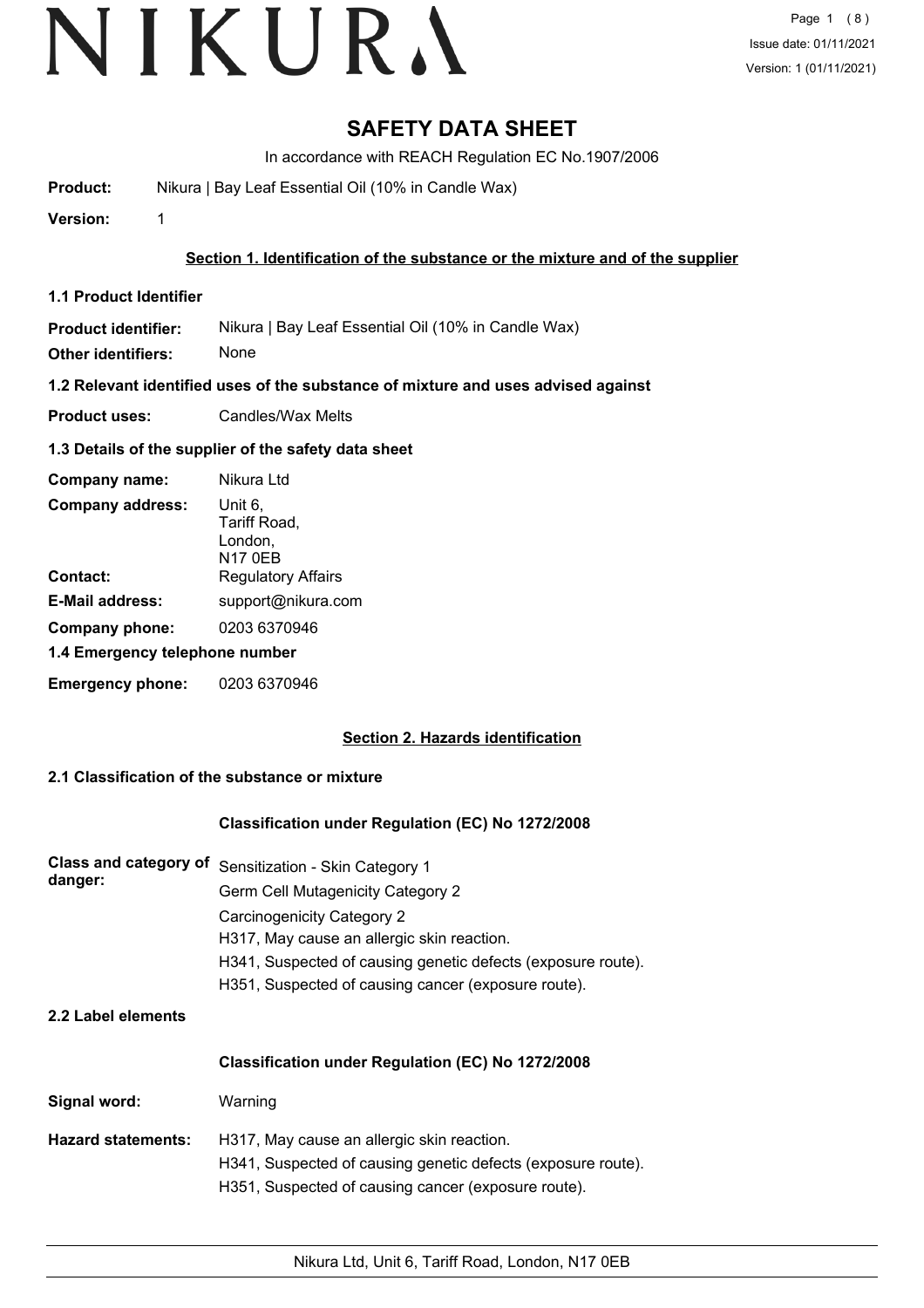### **SAFETY DATA SHEET**

In accordance with REACH Regulation EC No.1907/2006

**Product:** Nikura | Bay Leaf Essential Oil (10% in Candle Wax)

**Version:** 1

#### **Section 1. Identification of the substance or the mixture and of the supplier**

**1.1 Product Identifier**

**Product identifier:** Nikura | Bay Leaf Essential Oil (10% in Candle Wax)

**Other identifiers:** None

**1.2 Relevant identified uses of the substance of mixture and uses advised against**

**Product uses:** Candles/Wax Melts

#### **1.3 Details of the supplier of the safety data sheet**

| Company name:                  | Nikura Ltd                                           |
|--------------------------------|------------------------------------------------------|
| <b>Company address:</b>        | Unit 6,<br>Tariff Road,<br>London,<br><b>N17 0EB</b> |
| Contact:                       | <b>Regulatory Affairs</b>                            |
| <b>E-Mail address:</b>         | support@nikura.com                                   |
| Company phone:                 | 0203 6370946                                         |
| 1.4 Emergency telephone number |                                                      |
| <b>Emergency phone:</b>        | 0203 6370946                                         |

#### **Section 2. Hazards identification**

#### **2.1 Classification of the substance or mixture**

#### **Classification under Regulation (EC) No 1272/2008**

| Class and category of Sensitization - Skin Category 1        |
|--------------------------------------------------------------|
| Germ Cell Mutagenicity Category 2                            |
| <b>Carcinogenicity Category 2</b>                            |
| H317, May cause an allergic skin reaction.                   |
| H341, Suspected of causing genetic defects (exposure route). |
| H351, Suspected of causing cancer (exposure route).          |
|                                                              |

**2.2 Label elements**

#### **Classification under Regulation (EC) No 1272/2008**

**Signal word:** Warning

**Hazard statements:** H317, May cause an allergic skin reaction. H341, Suspected of causing genetic defects (exposure route). H351, Suspected of causing cancer (exposure route).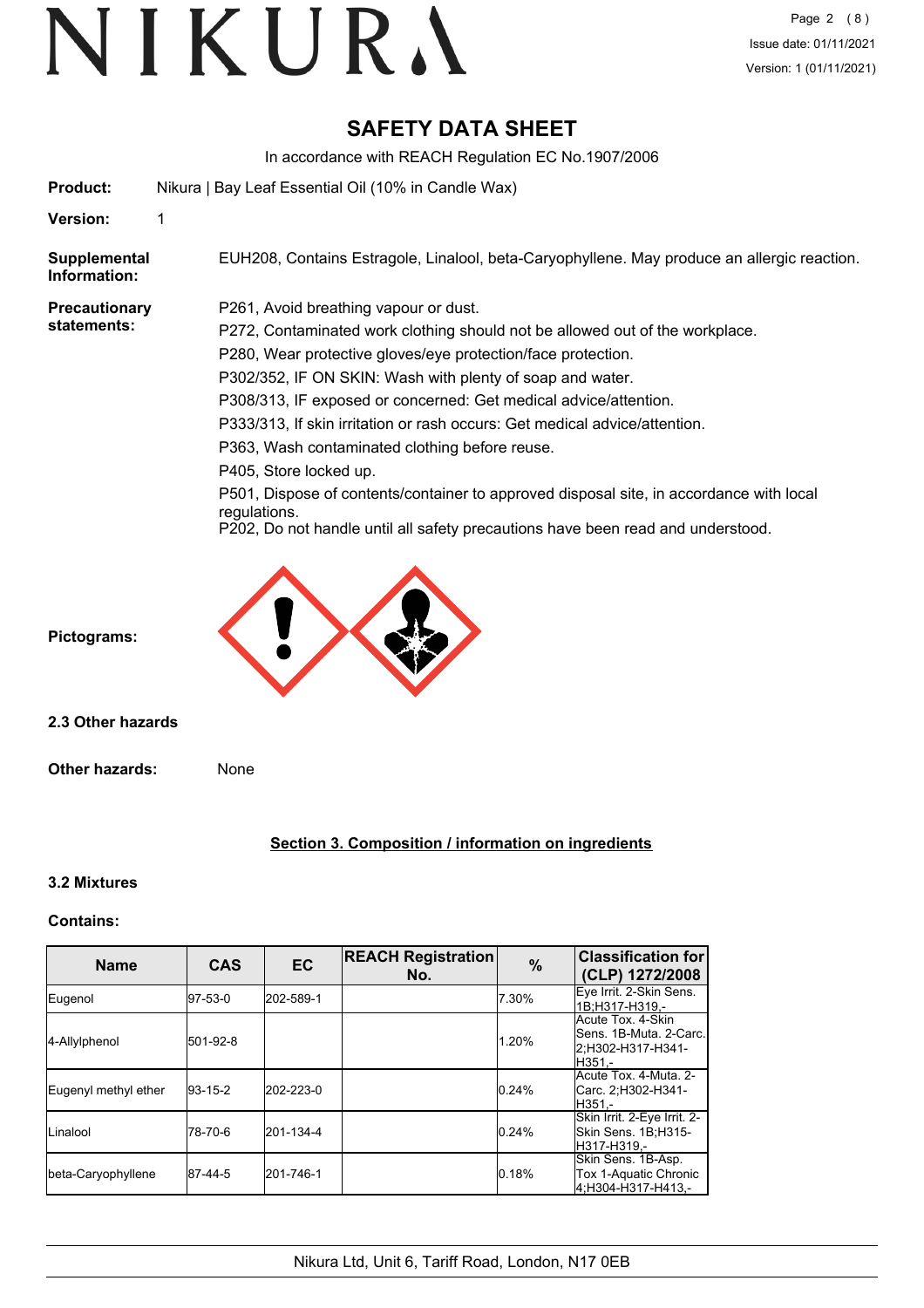## **SAFETY DATA SHEET**

In accordance with REACH Regulation EC No.1907/2006

| <b>Product:</b>              | Nikura   Bay Leaf Essential Oil (10% in Candle Wax)                                                     |
|------------------------------|---------------------------------------------------------------------------------------------------------|
| <b>Version:</b>              | 1                                                                                                       |
| Supplemental<br>Information: | EUH208, Contains Estragole, Linalool, beta-Caryophyllene. May produce an allergic reaction.             |
| <b>Precautionary</b>         | P261, Avoid breathing vapour or dust.                                                                   |
| statements:                  | P272, Contaminated work clothing should not be allowed out of the workplace.                            |
|                              | P280, Wear protective gloves/eye protection/face protection.                                            |
|                              | P302/352, IF ON SKIN: Wash with plenty of soap and water.                                               |
|                              | P308/313, IF exposed or concerned: Get medical advice/attention.                                        |
|                              | P333/313, If skin irritation or rash occurs: Get medical advice/attention.                              |
|                              | P363, Wash contaminated clothing before reuse.                                                          |
|                              | P405, Store locked up.                                                                                  |
|                              | P501, Dispose of contents/container to approved disposal site, in accordance with local<br>regulations. |
|                              | P202, Do not handle until all safety precautions have been read and understood.                         |
|                              |                                                                                                         |

**Pictograms:**

**2.3 Other hazards**

**Other hazards:** None

#### **Section 3. Composition / information on ingredients**

#### **3.2 Mixtures**

#### **Contains:**

| <b>Name</b>          | <b>CAS</b>  | <b>EC</b> | <b>REACH Registration</b><br>No. | $\%$  | <b>Classification for</b><br>(CLP) 1272/2008                               |
|----------------------|-------------|-----------|----------------------------------|-------|----------------------------------------------------------------------------|
| Eugenol              | 197-53-0    | 202-589-1 |                                  | 7.30% | Eye Irrit. 2-Skin Sens.<br>l1B:H317-H319.-                                 |
| 4-Allylphenol        | 501-92-8    |           |                                  | 1.20% | Acute Tox. 4-Skin<br>Sens. 1B-Muta. 2-Carc.<br>2:H302-H317-H341-<br>H351.- |
| Eugenyl methyl ether | $ 93-15-2 $ | 202-223-0 |                                  | 0.24% | Acute Tox, 4-Muta, 2-<br>Carc. 2;H302-H341-<br>H351.-                      |
| Linalool             | 178-70-6    | 201-134-4 |                                  | 0.24% | Skin Irrit. 2-Eye Irrit. 2-<br>Skin Sens. 1B:H315-<br>lH317-H319.-         |
| beta-Caryophyllene   | 87-44-5     | 201-746-1 |                                  | 0.18% | Skin Sens. 1B-Asp.<br>Tox 1-Aquatic Chronic<br>4:H304-H317-H413.-          |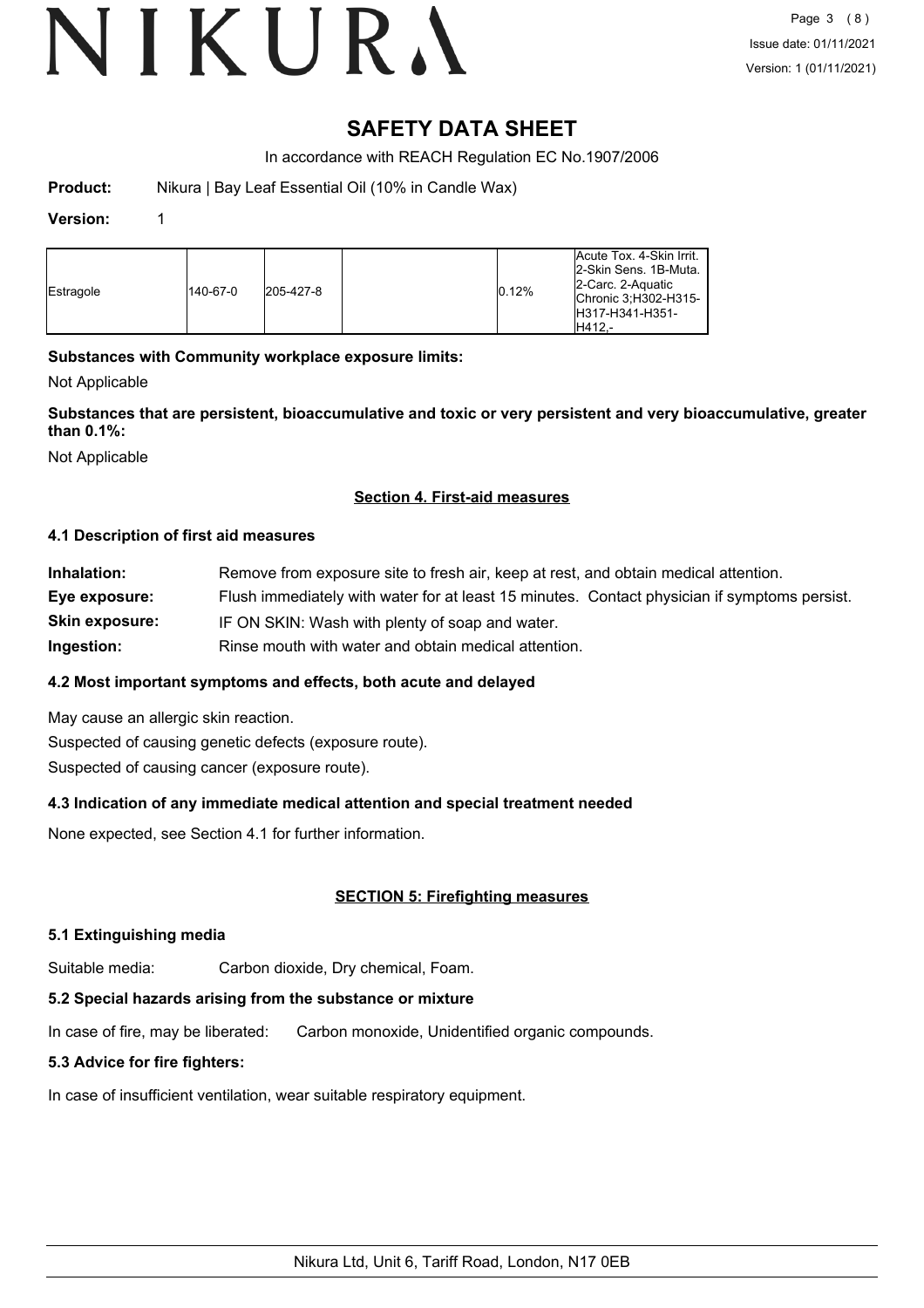# VIKURA

### **SAFETY DATA SHEET**

In accordance with REACH Regulation EC No.1907/2006

**Product:** Nikura | Bay Leaf Essential Oil (10% in Candle Wax)

#### **Version:** 1

| Estragole | 140-67-0 | 205-427-8 |  | 0.12% | <b>Acute Tox. 4-Skin Irrit.</b><br>2-Skin Sens, 1B-Muta.<br>2-Carc. 2-Aquatic<br>IChronic 3: H302-H315-<br>IH317-H341-H351-<br>IH412.- |
|-----------|----------|-----------|--|-------|----------------------------------------------------------------------------------------------------------------------------------------|
|-----------|----------|-----------|--|-------|----------------------------------------------------------------------------------------------------------------------------------------|

#### **Substances with Community workplace exposure limits:**

Not Applicable

**Substances that are persistent, bioaccumulative and toxic or very persistent and very bioaccumulative, greater than 0.1%:**

Not Applicable

#### **Section 4. First-aid measures**

#### **4.1 Description of first aid measures**

| Inhalation:           | Remove from exposure site to fresh air, keep at rest, and obtain medical attention.          |
|-----------------------|----------------------------------------------------------------------------------------------|
| Eye exposure:         | Flush immediately with water for at least 15 minutes. Contact physician if symptoms persist. |
| <b>Skin exposure:</b> | IF ON SKIN: Wash with plenty of soap and water.                                              |
| Ingestion:            | Rinse mouth with water and obtain medical attention.                                         |

#### **4.2 Most important symptoms and effects, both acute and delayed**

May cause an allergic skin reaction. Suspected of causing genetic defects (exposure route). Suspected of causing cancer (exposure route).

#### **4.3 Indication of any immediate medical attention and special treatment needed**

None expected, see Section 4.1 for further information.

#### **SECTION 5: Firefighting measures**

#### **5.1 Extinguishing media**

Suitable media: Carbon dioxide, Dry chemical, Foam.

### **5.2 Special hazards arising from the substance or mixture**

In case of fire, may be liberated: Carbon monoxide, Unidentified organic compounds.

### **5.3 Advice for fire fighters:**

In case of insufficient ventilation, wear suitable respiratory equipment.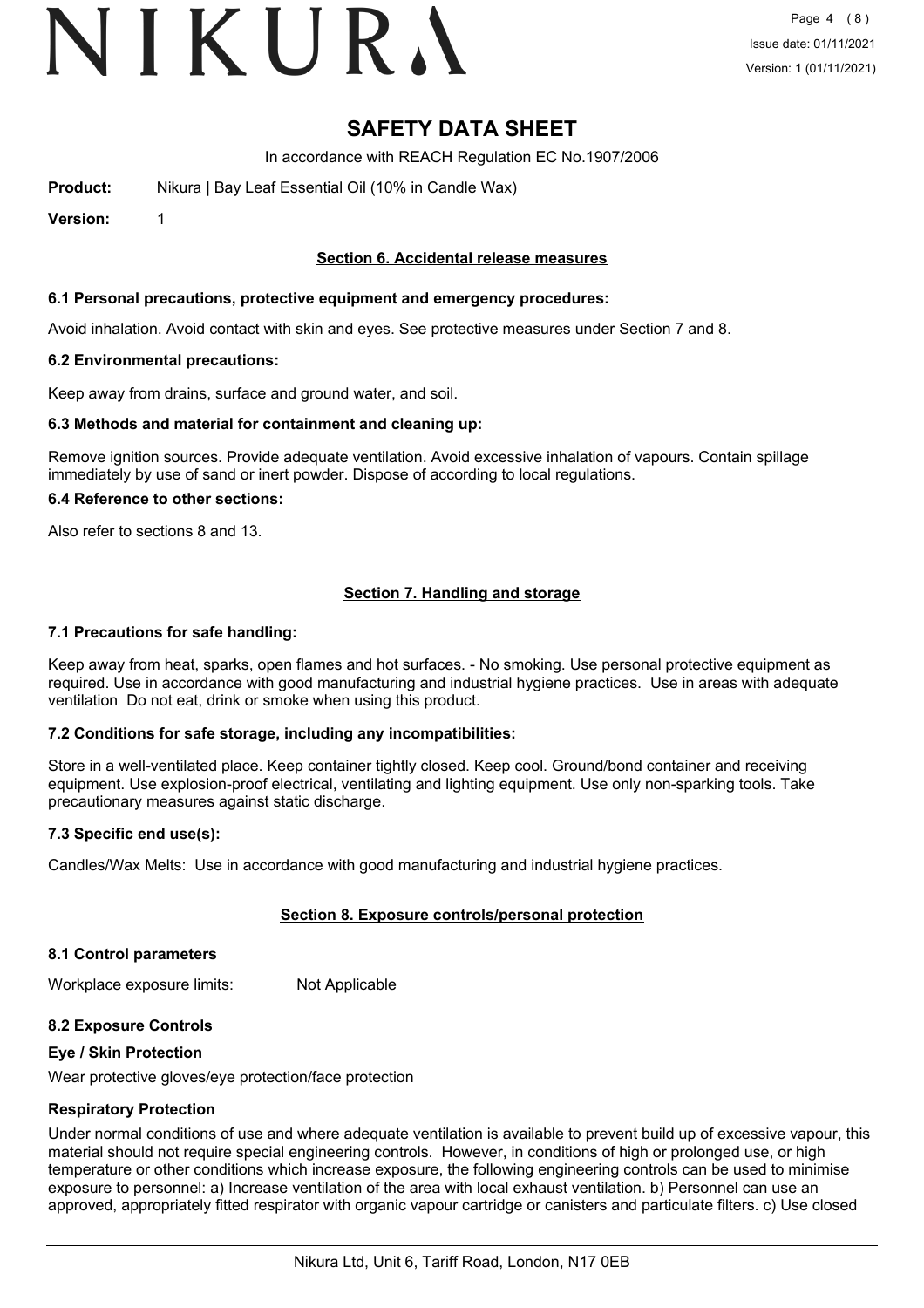## VIKURA

### **SAFETY DATA SHEET**

In accordance with REACH Regulation EC No.1907/2006

**Product:** Nikura | Bay Leaf Essential Oil (10% in Candle Wax)

**Version:** 1

#### **Section 6. Accidental release measures**

#### **6.1 Personal precautions, protective equipment and emergency procedures:**

Avoid inhalation. Avoid contact with skin and eyes. See protective measures under Section 7 and 8.

#### **6.2 Environmental precautions:**

Keep away from drains, surface and ground water, and soil.

#### **6.3 Methods and material for containment and cleaning up:**

Remove ignition sources. Provide adequate ventilation. Avoid excessive inhalation of vapours. Contain spillage immediately by use of sand or inert powder. Dispose of according to local regulations.

#### **6.4 Reference to other sections:**

Also refer to sections 8 and 13.

#### **Section 7. Handling and storage**

#### **7.1 Precautions for safe handling:**

Keep away from heat, sparks, open flames and hot surfaces. - No smoking. Use personal protective equipment as required. Use in accordance with good manufacturing and industrial hygiene practices. Use in areas with adequate ventilation Do not eat, drink or smoke when using this product.

#### **7.2 Conditions for safe storage, including any incompatibilities:**

Store in a well-ventilated place. Keep container tightly closed. Keep cool. Ground/bond container and receiving equipment. Use explosion-proof electrical, ventilating and lighting equipment. Use only non-sparking tools. Take precautionary measures against static discharge.

#### **7.3 Specific end use(s):**

Candles/Wax Melts: Use in accordance with good manufacturing and industrial hygiene practices.

#### **Section 8. Exposure controls/personal protection**

#### **8.1 Control parameters**

Workplace exposure limits: Not Applicable

#### **8.2 Exposure Controls**

#### **Eye / Skin Protection**

Wear protective gloves/eye protection/face protection

#### **Respiratory Protection**

Under normal conditions of use and where adequate ventilation is available to prevent build up of excessive vapour, this material should not require special engineering controls. However, in conditions of high or prolonged use, or high temperature or other conditions which increase exposure, the following engineering controls can be used to minimise exposure to personnel: a) Increase ventilation of the area with local exhaust ventilation. b) Personnel can use an approved, appropriately fitted respirator with organic vapour cartridge or canisters and particulate filters. c) Use closed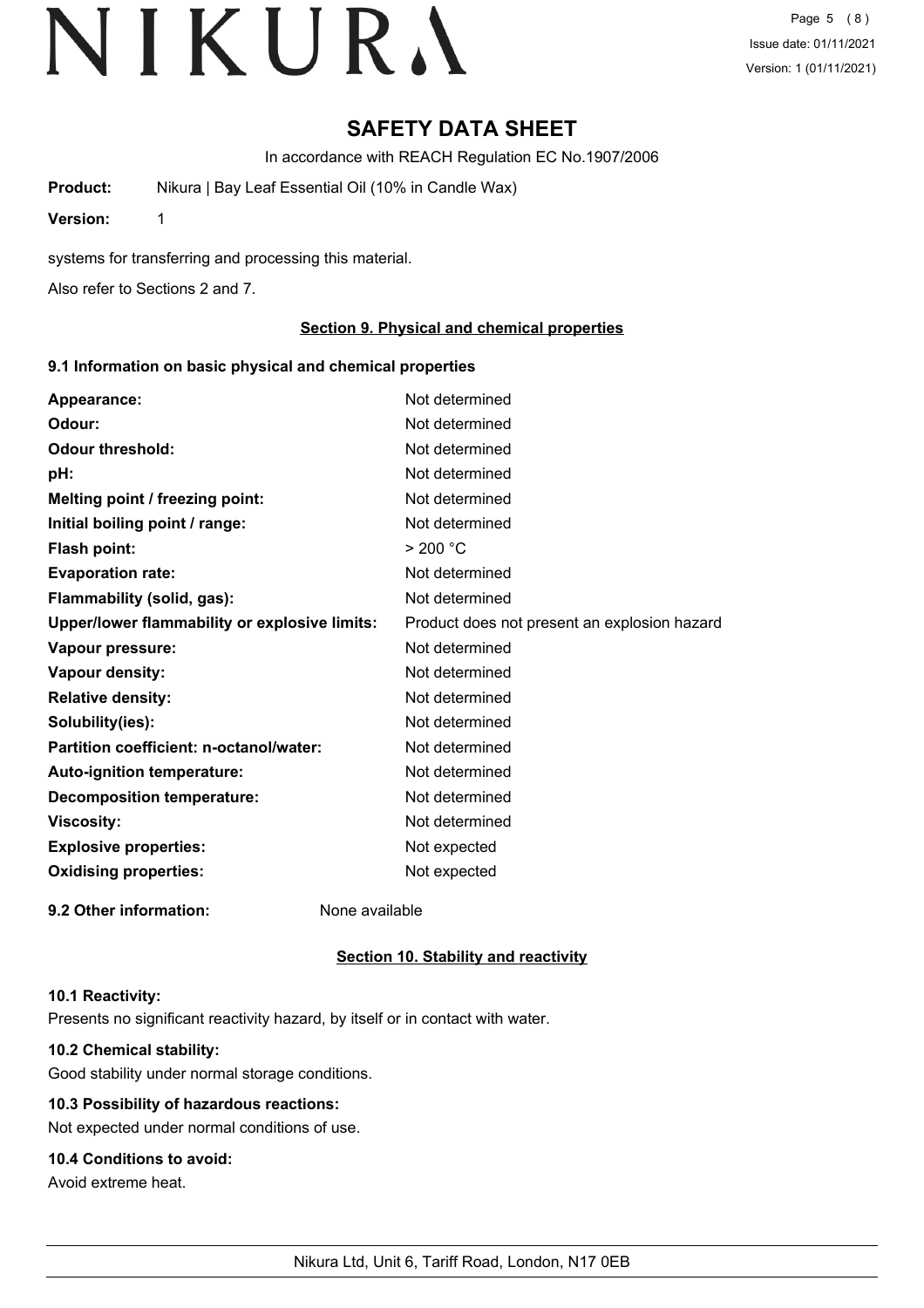Page 5 (8) Issue date: 01/11/2021 Version: 1 (01/11/2021)

### **SAFETY DATA SHEET**

In accordance with REACH Regulation EC No.1907/2006

**Product:** Nikura | Bay Leaf Essential Oil (10% in Candle Wax)

**Version:** 1

systems for transferring and processing this material.

Also refer to Sections 2 and 7.

#### **Section 9. Physical and chemical properties**

#### **9.1 Information on basic physical and chemical properties**

| Appearance:                                   | Not determined                               |
|-----------------------------------------------|----------------------------------------------|
| Odour:                                        | Not determined                               |
| <b>Odour threshold:</b>                       | Not determined                               |
| pH:                                           | Not determined                               |
| Melting point / freezing point:               | Not determined                               |
| Initial boiling point / range:                | Not determined                               |
| <b>Flash point:</b>                           | > 200 °C                                     |
| <b>Evaporation rate:</b>                      | Not determined                               |
| Flammability (solid, gas):                    | Not determined                               |
| Upper/lower flammability or explosive limits: | Product does not present an explosion hazard |
| Vapour pressure:                              | Not determined                               |
| Vapour density:                               | Not determined                               |
| <b>Relative density:</b>                      | Not determined                               |
| Solubility(ies):                              | Not determined                               |
| Partition coefficient: n-octanol/water:       | Not determined                               |
| Auto-ignition temperature:                    | Not determined                               |
| <b>Decomposition temperature:</b>             | Not determined                               |
| <b>Viscosity:</b>                             | Not determined                               |
| <b>Explosive properties:</b>                  | Not expected                                 |
| <b>Oxidising properties:</b>                  | Not expected                                 |
| 9.2 Other information:                        | None available                               |

#### **Section 10. Stability and reactivity**

#### **10.1 Reactivity:**

Presents no significant reactivity hazard, by itself or in contact with water.

#### **10.2 Chemical stability:**

Good stability under normal storage conditions.

#### **10.3 Possibility of hazardous reactions:**

Not expected under normal conditions of use.

#### **10.4 Conditions to avoid:**

Avoid extreme heat.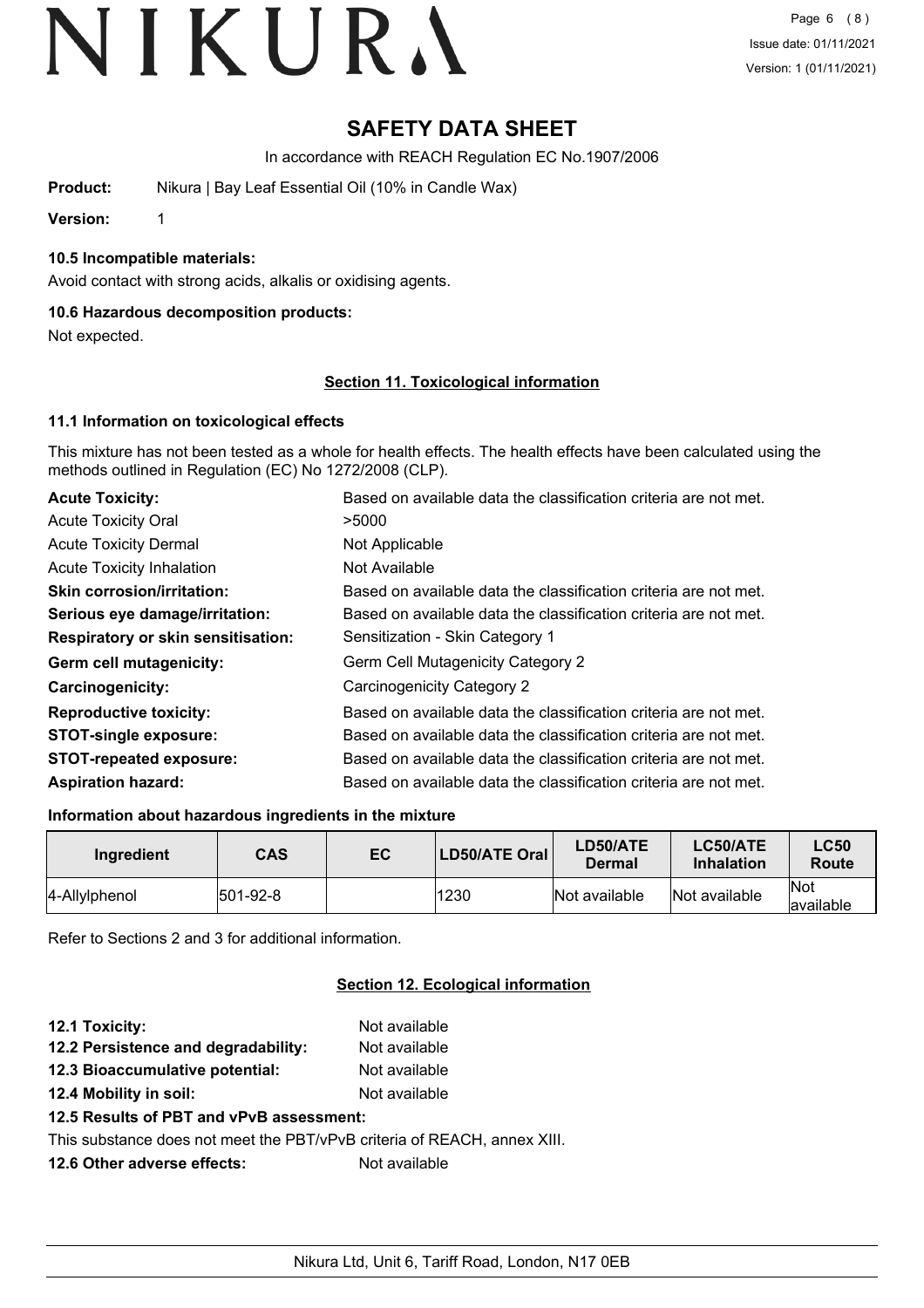## **SAFETY DATA SHEET**

In accordance with REACH Regulation EC No.1907/2006

**Product:** Nikura | Bay Leaf Essential Oil (10% in Candle Wax)

**Version:** 1

#### **10.5 Incompatible materials:**

Avoid contact with strong acids, alkalis or oxidising agents.

#### **10.6 Hazardous decomposition products:**

Not expected.

#### **Section 11. Toxicological information**

#### **11.1 Information on toxicological effects**

This mixture has not been tested as a whole for health effects. The health effects have been calculated using the methods outlined in Regulation (EC) No 1272/2008 (CLP).

| <b>Acute Toxicity:</b>                    | Based on available data the classification criteria are not met. |
|-------------------------------------------|------------------------------------------------------------------|
| <b>Acute Toxicity Oral</b>                | >5000                                                            |
| <b>Acute Toxicity Dermal</b>              | Not Applicable                                                   |
| <b>Acute Toxicity Inhalation</b>          | Not Available                                                    |
| <b>Skin corrosion/irritation:</b>         | Based on available data the classification criteria are not met. |
| Serious eye damage/irritation:            | Based on available data the classification criteria are not met. |
| <b>Respiratory or skin sensitisation:</b> | Sensitization - Skin Category 1                                  |
| Germ cell mutagenicity:                   | <b>Germ Cell Mutagenicity Category 2</b>                         |
| <b>Carcinogenicity:</b>                   | Carcinogenicity Category 2                                       |
| <b>Reproductive toxicity:</b>             | Based on available data the classification criteria are not met. |
| <b>STOT-single exposure:</b>              | Based on available data the classification criteria are not met. |
| <b>STOT-repeated exposure:</b>            | Based on available data the classification criteria are not met. |
| <b>Aspiration hazard:</b>                 | Based on available data the classification criteria are not met. |

#### **Information about hazardous ingredients in the mixture**

| Ingredient    | <b>CAS</b> | EC | LD50/ATE Oral | LD50/ATE<br>Dermal | LC50/ATE<br><b>Inhalation</b> | <b>LC50</b><br>Route |
|---------------|------------|----|---------------|--------------------|-------------------------------|----------------------|
| 4-Allylphenol | 501-92-8   |    | 1230          | Not available      | Not available                 | Not<br>lavailable    |

Refer to Sections 2 and 3 for additional information.

#### **Section 12. Ecological information**

| 12.1 Toxicity:                                                           | Not available |
|--------------------------------------------------------------------------|---------------|
| 12.2 Persistence and degradability:                                      | Not available |
| 12.3 Bioaccumulative potential:                                          | Not available |
| 12.4 Mobility in soil:                                                   | Not available |
| 12.5 Results of PBT and vPvB assessment:                                 |               |
| This substance does not meet the PBT/vPvB criteria of REACH, annex XIII. |               |
| 12.6 Other adverse effects:                                              | Not available |
|                                                                          |               |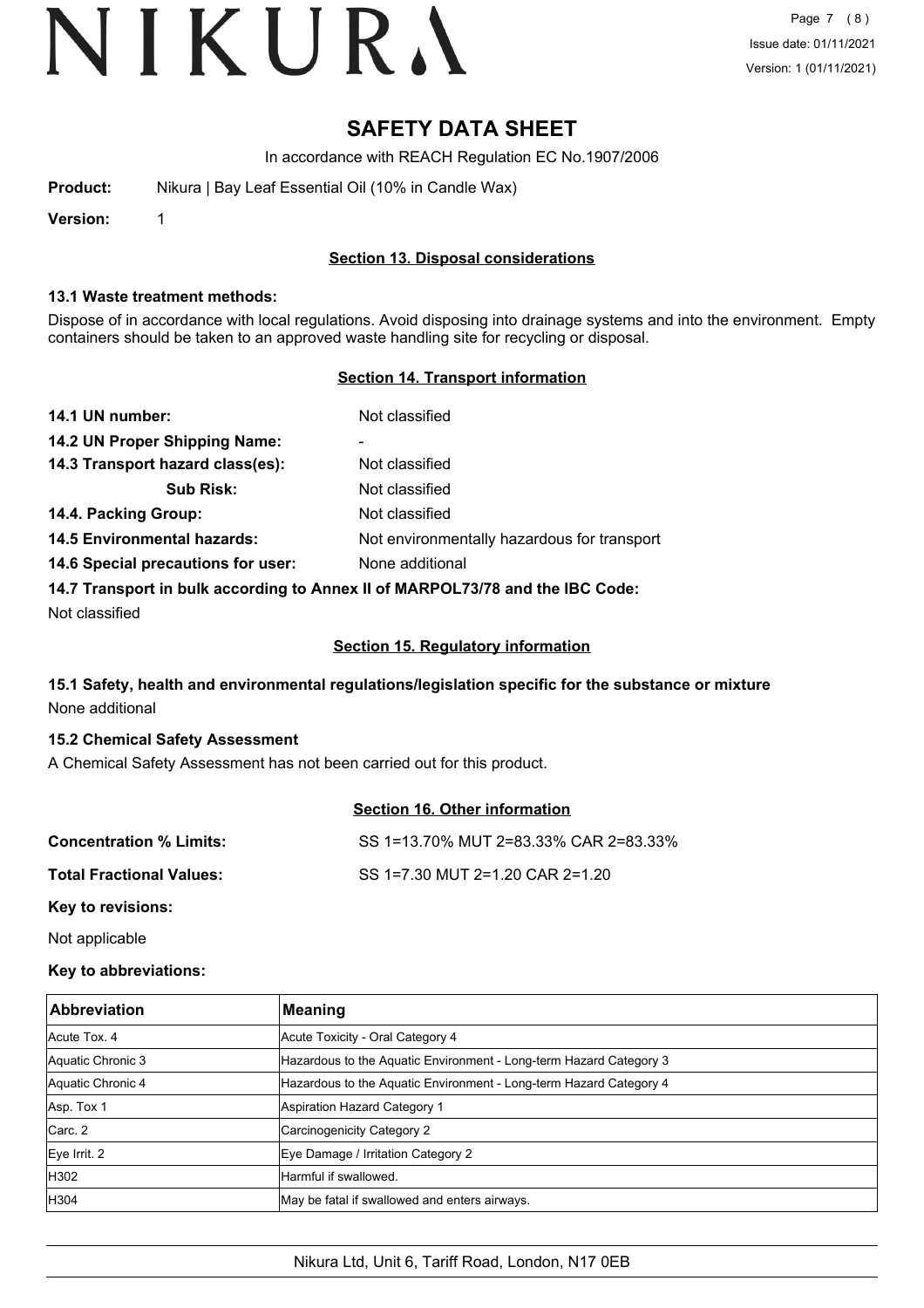### **SAFETY DATA SHEET**

In accordance with REACH Regulation EC No.1907/2006

| Product: | Nikura   Bay Leaf Essential Oil (10% in Candle Wax) |  |
|----------|-----------------------------------------------------|--|
|          |                                                     |  |

**Version:** 1

#### **Section 13. Disposal considerations**

#### **13.1 Waste treatment methods:**

Dispose of in accordance with local regulations. Avoid disposing into drainage systems and into the environment. Empty containers should be taken to an approved waste handling site for recycling or disposal.

#### **Section 14. Transport information**

| 14.1 UN number:                                                               | Not classified                              |  |
|-------------------------------------------------------------------------------|---------------------------------------------|--|
| 14.2 UN Proper Shipping Name:                                                 | ۰                                           |  |
| 14.3 Transport hazard class(es):                                              | Not classified                              |  |
| <b>Sub Risk:</b>                                                              | Not classified                              |  |
| 14.4. Packing Group:                                                          | Not classified                              |  |
| <b>14.5 Environmental hazards:</b>                                            | Not environmentally hazardous for transport |  |
| 14.6 Special precautions for user:                                            | None additional                             |  |
| 14.7 Transport in bulk according to Annex II of MARPOL73/78 and the IBC Code: |                                             |  |

Not classified

#### **Section 15. Regulatory information**

#### **15.1 Safety, health and environmental regulations/legislation specific for the substance or mixture** None additional

#### **15.2 Chemical Safety Assessment**

A Chemical Safety Assessment has not been carried out for this product.

#### **Section 16. Other information**

| <b>Concentration % Limits:</b>       | SS 1=13.70% MUT 2=83.33% CAR 2=83.33% |
|--------------------------------------|---------------------------------------|
| Total Fractional Values:             | SS 1=7.30 MUT 2=1.20 CAR 2=1.20       |
| $\boldsymbol{V}$ ari ta waritalamari |                                       |

**Key to revisions:**

Not applicable

#### **Key to abbreviations:**

| <b>Abbreviation</b> | <b>Meaning</b>                                                     |
|---------------------|--------------------------------------------------------------------|
| Acute Tox, 4        | Acute Toxicity - Oral Category 4                                   |
| Aquatic Chronic 3   | Hazardous to the Aquatic Environment - Long-term Hazard Category 3 |
| Aquatic Chronic 4   | Hazardous to the Aquatic Environment - Long-term Hazard Category 4 |
| Asp. Tox 1          | Aspiration Hazard Category 1                                       |
| Carc. 2             | Carcinogenicity Category 2                                         |
| Eye Irrit. 2        | Eye Damage / Irritation Category 2                                 |
| H302                | Harmful if swallowed.                                              |
| <b>H304</b>         | May be fatal if swallowed and enters airways.                      |